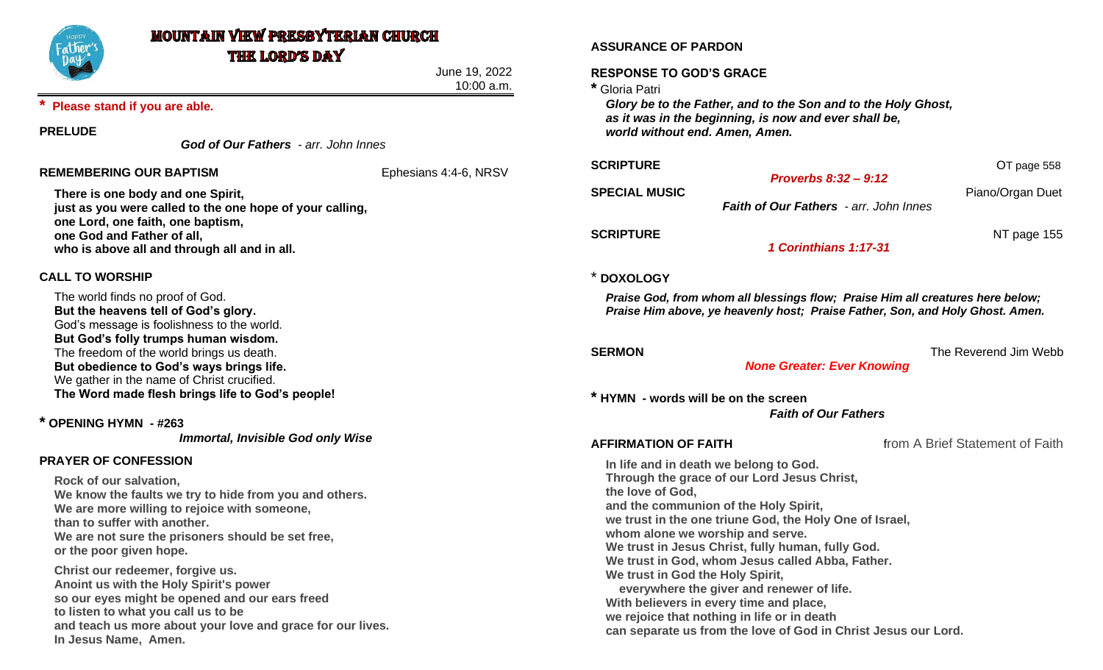

# **MOUNTAIN VIEW PRESBYTERIAN CHURCH THE LORD'S DAY**

June 19, 2022 10:00 a.m.

## **\* Please stand if you are able.**

## **PRELUDE**

*God of Our Fathers - arr. John Innes*

## **REMEMBERING OUR BAPTISM**  Ephesians 4:4-6, NRSV

**There is one body and one Spirit, just as you were called to the one hope of your calling, one Lord, one faith, one baptism, one God and Father of all, who is above all and through all and in all.**

## **CALL TO WORSHIP**

The world finds no proof of God. **But the heavens tell of God's glory.** God's message is foolishness to the world. **But God's folly trumps human wisdom.** The freedom of the world brings us death. **But obedience to God's ways brings life.** We gather in the name of Christ crucified. **The Word made flesh brings life to God's people!**

**\* OPENING HYMN - #263**

*Immortal, Invisible God only Wise*

## **PRAYER OF CONFESSION**

**Rock of our salvation, We know the faults we try to hide from you and others. We are more willing to rejoice with someone, than to suffer with another. We are not sure the prisoners should be set free, or the poor given hope.**

**Christ our redeemer, forgive us. Anoint us with the Holy Spirit's power so our eyes might be opened and our ears freed to listen to what you call us to be and teach us more about your love and grace for our lives. In Jesus Name, Amen.**

## **ASSURANCE OF PARDON**

## **RESPONSE TO GOD'S GRACE**

**\*** Gloria Patri

*Glory be to the Father, and to the Son and to the Holy Ghost, as it was in the beginning, is now and ever shall be, world without end. Amen, Amen.*

### **OT** page 558

**SPECIAL MUSIC Piano/Organ Duet** 

*Faith of Our Fathers - arr. John Innes*

*Proverbs 8:32 – 9:12*

**SCRIPTURE NT** page 155

*1 Corinthians 1:17-31*

## \* **DOXOLOGY**

*Praise God, from whom all blessings flow; Praise Him all creatures here below; Praise Him above, ye heavenly host; Praise Father, Son, and Holy Ghost. Amen.*

**SERMON SERMON** *SERMON* 

*None Greater: Ever Knowing*

**\* HYMN - words will be on the screen**

*Faith of Our Fathers*

**AFFIRMATION OF FAITH** from A Brief Statement of Faith

**In life and in death we belong to God. Through the grace of our Lord Jesus Christ, the love of God, and the communion of the Holy Spirit, we trust in the one triune God, the Holy One of Israel, whom alone we worship and serve. We trust in Jesus Christ, fully human, fully God. We trust in God, whom Jesus called Abba, Father. We trust in God the Holy Spirit, everywhere the giver and renewer of life. With believers in every time and place, we rejoice that nothing in life or in death can separate us from the love of God in Christ Jesus our Lord.**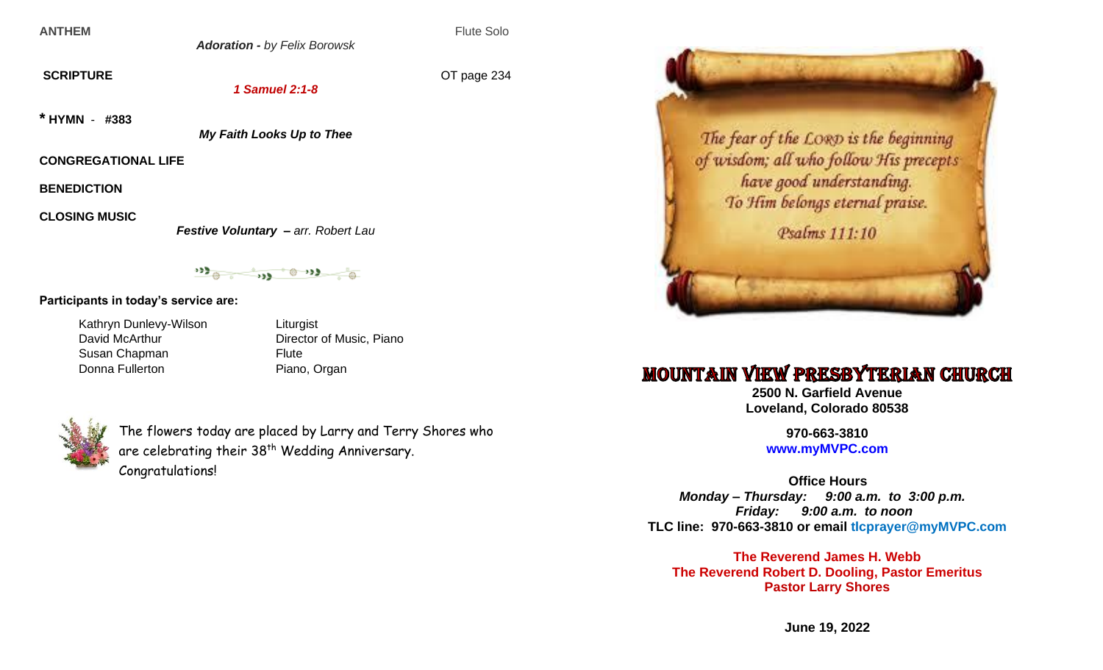**ANTHEM** Flute Solo

*Adoration - by Felix Borowsk*

**SCRIPTURE** OT page 234

*1 Samuel 2:1-8*

**\* HYMN** - **#383**

*My Faith Looks Up to Thee*

**CONGREGATIONAL LIFE**

**BENEDICTION**

**CLOSING MUSIC** 

*Festive Voluntary – arr. Robert Lau*

 $\begin{picture}(160,10) \put(0,0){\line(1,0){10}} \put(0,0){\line(1,0){10}} \put(0,0){\line(1,0){10}} \put(0,0){\line(1,0){10}} \put(0,0){\line(1,0){10}} \put(0,0){\line(1,0){10}} \put(0,0){\line(1,0){10}} \put(0,0){\line(1,0){10}} \put(0,0){\line(1,0){10}} \put(0,0){\line(1,0){10}} \put(0,0){\line(1,0){10}} \put(0,0){\line(1,0){10}} \put(0$ 

**Participants in today's service are:**

Kathryn Dunlevy-Wilson Liturgist Susan Chapman Flute Donna Fullerton Piano, Organ

David McArthur **Director of Music, Piano** 



The flowers today are placed by Larry and Terry Shores who are celebrating their 38<sup>th</sup> Wedding Anniversary. Congratulations!



# **MOUNTAIN VIEW PRESBYTERIAN CHURCH**

**2500 N. Garfield Avenue Loveland, Colorado 80538**

> **970-663-3810 [www.myMVPC.com](http://www.mymvpc.com/)**

 **Office Hours** *Monday – Thursday: 9:00 a.m. to 3:00 p.m. Friday: 9:00 a.m. to noon* **TLC line: 970-663-3810 or email tlcprayer@myMVPC.com**

**The Reverend James H. Webb The Reverend Robert D. Dooling, Pastor Emeritus Pastor Larry Shores**

**June 19, 2022**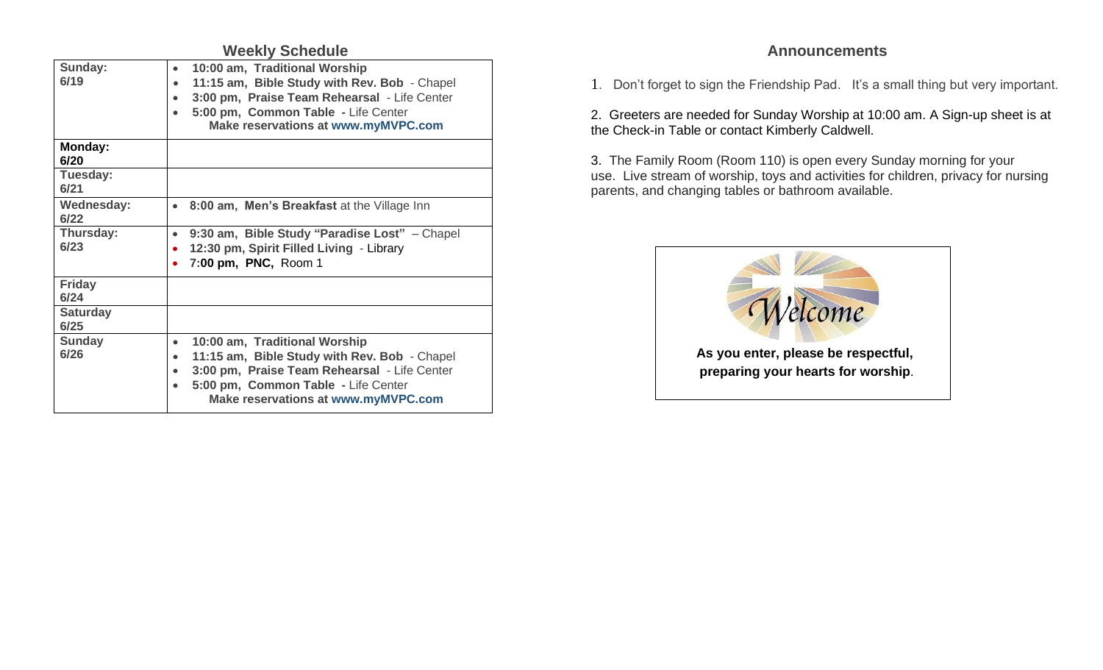| <b>Weekly Schedule</b>    |                                                                                                                                                                                                                                                           |
|---------------------------|-----------------------------------------------------------------------------------------------------------------------------------------------------------------------------------------------------------------------------------------------------------|
| Sunday:<br>6/19           | 10:00 am, Traditional Worship<br>$\bullet$<br>11:15 am, Bible Study with Rev. Bob - Chapel<br>$\bullet$<br>3:00 pm, Praise Team Rehearsal - Life Center<br>$\bullet$<br>5:00 pm, Common Table - Life Center<br><b>Make reservations at www.myMVPC.com</b> |
| Monday:<br>6/20           |                                                                                                                                                                                                                                                           |
| Tuesday:<br>6/21          |                                                                                                                                                                                                                                                           |
| <b>Wednesday:</b><br>6/22 | 8:00 am, Men's Breakfast at the Village Inn<br>$\bullet$                                                                                                                                                                                                  |
| Thursday:<br>6/23         | 9:30 am, Bible Study "Paradise Lost" - Chapel<br>$\bullet$<br>12:30 pm, Spirit Filled Living - Library<br>7:00 pm, PNC, Room 1                                                                                                                            |
| <b>Friday</b><br>6/24     |                                                                                                                                                                                                                                                           |
| <b>Saturday</b><br>6/25   |                                                                                                                                                                                                                                                           |
| <b>Sunday</b><br>6/26     | 10:00 am, Traditional Worship<br>$\bullet$<br>11:15 am, Bible Study with Rev. Bob - Chapel<br>3:00 pm, Praise Team Rehearsal - Life Center<br>5:00 pm, Common Table - Life Center<br><b>Make reservations at www.myMVPC.com</b>                           |

## **Announcements**

1. Don't forget to sign the Friendship Pad. It's a small thing but very important.

2. Greeters are needed for Sunday Worship at 10:00 am. A Sign-up sheet is at the Check-in Table or contact Kimberly Caldwell.

3. The Family Room (Room 110) is open every Sunday morning for your use. Live stream of worship, toys and activities for children, privacy for nursing parents, and changing tables or bathroom available.

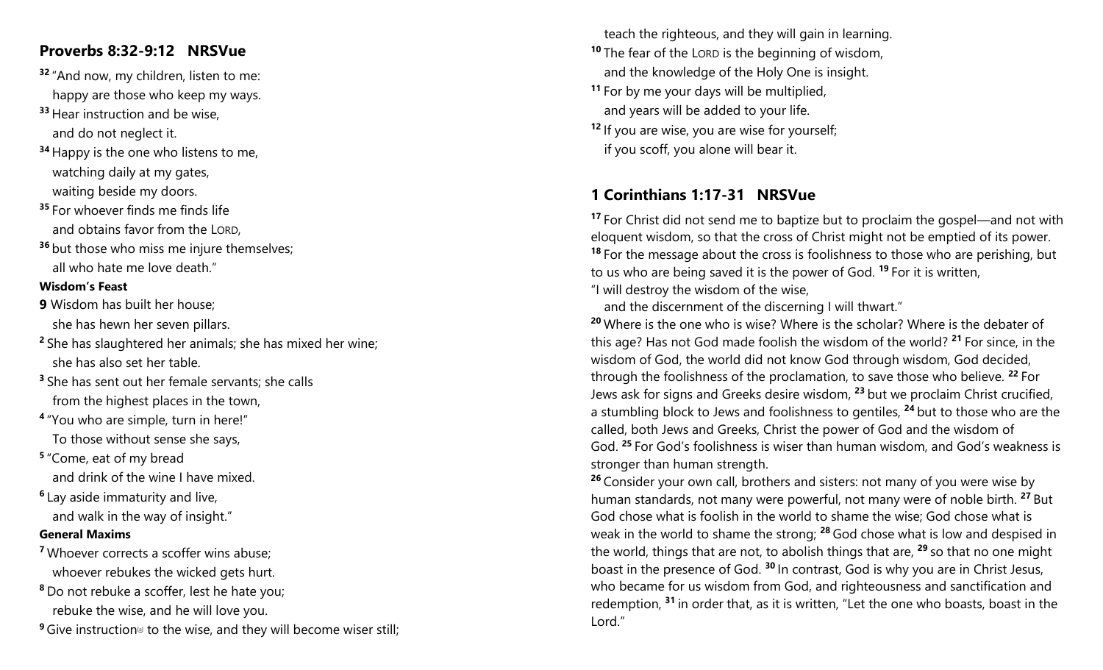# **Proverbs 8:32-9:12 NRSVue**

- **<sup>32</sup>** "And now, my children, listen to me: happy are those who keep my ways.
- **<sup>33</sup>** Hear instruction and be wise, and do not neglect it.
- **<sup>34</sup>** Happy is the one who listens to me, watching daily at my gates, waiting beside my doors.
- **<sup>35</sup>** For whoever finds me finds life and obtains favor from the LORD,
- **<sup>36</sup>** but those who miss me injure themselves; all who hate me love death."

## **Wisdom's Feast**

- **9** Wisdom has built her house; she has hewn her seven pillars.
- **<sup>2</sup>** She has slaughtered her animals; she has mixed her wine; she has also set her table.
- **<sup>3</sup>** She has sent out her female servants; she calls from the highest places in the town,
- **4** "You who are simple, turn in here!" To those without sense she says,
- **5** "Come, eat of my bread and drink of the wine I have mixed.
- **6** Lay aside immaturity and live, and walk in the way of insight."

## **General Maxims**

- **<sup>7</sup>** Whoever corrects a scoffer wins abuse; whoever rebukes the wicked gets hurt.
- **<sup>8</sup>** Do not rebuke a scoffer, lest he hate you; rebuke the wise, and he will love you.
- <sup>9</sup> Give instruction<sup>®</sup> to the wise, and they will become wiser still;

 teach the righteous, and they will gain in learning. **<sup>10</sup>** The fear of the LORD is the beginning of wisdom, and the knowledge of the Holy One is insight. **<sup>11</sup>** For by me your days will be multiplied, and years will be added to your life. **<sup>12</sup>** If you are wise, you are wise for yourself; if you scoff, you alone will bear it.

# **1 Corinthians 1:17-31 NRSVue**

**<sup>17</sup>** For Christ did not send me to baptize but to proclaim the gospel—and not with eloquent wisdom, so that the cross of Christ might not be emptied of its power. **<sup>18</sup>** For the message about the cross is foolishness to those who are perishing, but to us who are being saved it is the power of God. **<sup>19</sup>** For it is written, "I will destroy the wisdom of the wise,

and the discernment of the discerning I will thwart."

**<sup>20</sup>** Where is the one who is wise? Where is the scholar? Where is the debater of this age? Has not God made foolish the wisdom of the world? **<sup>21</sup>** For since, in the wisdom of God, the world did not know God through wisdom, God decided, through the foolishness of the proclamation, to save those who believe. **<sup>22</sup>** For Jews ask for signs and Greeks desire wisdom, **<sup>23</sup>** but we proclaim Christ crucified, a stumbling block to Jews and foolishness to gentiles, **<sup>24</sup>** but to those who are the called, both Jews and Greeks, Christ the power of God and the wisdom of God. **<sup>25</sup>** For God's foolishness is wiser than human wisdom, and God's weakness is stronger than human strength.

**<sup>26</sup>** Consider your own call, brothers and sisters: not many of you were wise by human standards, not many were powerful, not many were of noble birth. **<sup>27</sup>** But God chose what is foolish in the world to shame the wise; God chose what is weak in the world to shame the strong; **<sup>28</sup>** God chose what is low and despised in the world, things that are not, to abolish things that are, **<sup>29</sup>** so that no one might boast in the presence of God. **<sup>30</sup>** In contrast, God is why you are in Christ Jesus, who became for us wisdom from God, and righteousness and sanctification and redemption, **<sup>31</sup>** in order that, as it is written, "Let the one who boasts, boast in the Lord."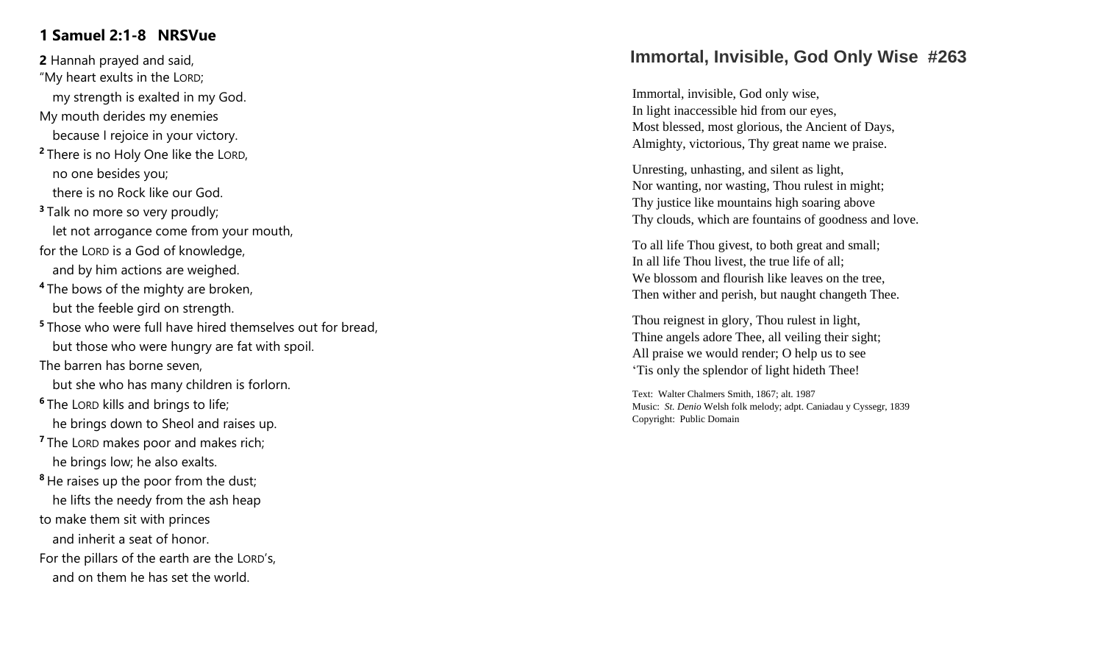# **1 Samuel 2:1 - 8 NRSVue**

**2** Hannah prayed and said, "My heart exults in the LORD ; my strength is exalted in my God . My mouth derides my enemies because I rejoice in your victory. **<sup>2</sup>** There is no Holy One like the LORD , no one besides you; there is no Rock like our God. **<sup>3</sup>** Talk no more so very proudly; let not arrogance come from your mouth, for the LORD is a God of knowledge, and by him actions are weighed. **<sup>4</sup>** The bows of the mighty are broken , but the feeble gird on strength. **<sup>5</sup>** Those who were full have hired themselves out for bread , but those who were hungry are fat with spoil. The barren has borne seven, but she who has many children is forlorn. **<sup>6</sup>** The LORD kills and brings to life; he brings down to Sheol and raises up. **<sup>7</sup>** The LORD makes poor and makes rich; he brings low; he also exalts. <sup>8</sup> He raises up the poor from the dust; he lifts the needy from the ash heap to make them sit with princes and inherit a seat of honor. For the pillars of the earth are the LORD's, and on them he has set the world.

# Immortal, Invisible, God Only Wise #263

Immortal, invisible, God only wise, In light inaccessible hid from our eyes, Most blessed, most glorious, the Ancient of Days, Almighty, victorious, Thy great name we praise.

Unresting, unhasting, and silent as light, Nor wanting, nor wasting, Thou rulest in might; Thy justice like mountains high soaring above Thy clouds , which are fountains of goodness and love.

To all life Thou givest, to both great and small; In all life Thou livest, the true life of all; We blossom and flourish like leaves on the tree. Then wither and perish, but n aught changeth Thee.

Thou reignest in glory, Thou rulest in light, Thine angels adore Thee, all veiling their sight; All praise we would render; O help us to see 'Tis only the splendor of light hideth Thee!

Text: Walter Chalmers Smith, 1867; alt. 1987 Music: *St. Denio* Welsh folk melody; adpt. Caniadau y Cyssegr, 1839 Copyright: Public Domain